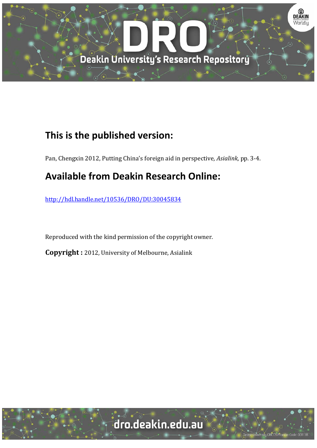

## **This is the published version:**

Pan, Chengxin 2012, Putting China's foreign aid in perspective, *Asialink*, pp. 3-4.

## **Available from Deakin Research Online:**

http://hdl.handle.net/10536/DRO/DU:30045834

Reproduced with the kind permission of the copyright owner.

**Copyright** : 2012, University of Melbourne, Asialink